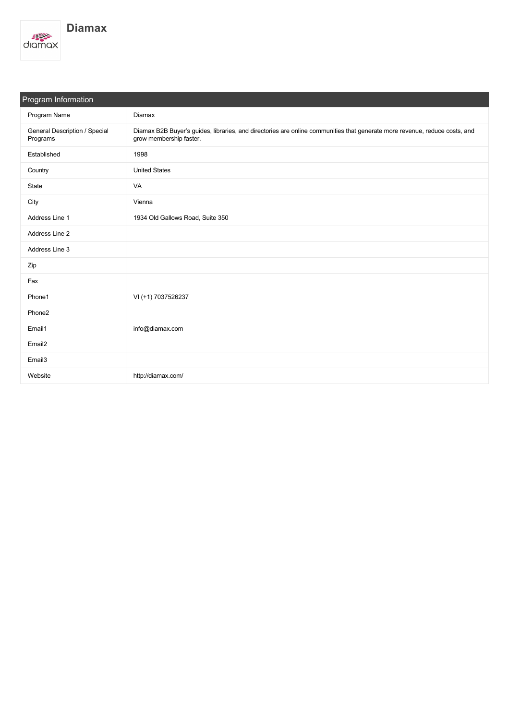

| Program Information                       |                                                                                                                                                       |  |  |  |
|-------------------------------------------|-------------------------------------------------------------------------------------------------------------------------------------------------------|--|--|--|
| Program Name                              | <b>Diamax</b>                                                                                                                                         |  |  |  |
| General Description / Special<br>Programs | Diamax B2B Buyer's guides, libraries, and directories are online communities that generate more revenue, reduce costs, and<br>grow membership faster. |  |  |  |
| Established                               | 1998                                                                                                                                                  |  |  |  |
| Country                                   | <b>United States</b>                                                                                                                                  |  |  |  |
| State                                     | VA                                                                                                                                                    |  |  |  |
| City                                      | Vienna                                                                                                                                                |  |  |  |
| Address Line 1                            | 1934 Old Gallows Road, Suite 350                                                                                                                      |  |  |  |
| Address Line 2                            |                                                                                                                                                       |  |  |  |
| Address Line 3                            |                                                                                                                                                       |  |  |  |
| Zip                                       |                                                                                                                                                       |  |  |  |
| Fax                                       |                                                                                                                                                       |  |  |  |
| Phone1                                    | VI (+1) 7037526237                                                                                                                                    |  |  |  |
| Phone2                                    |                                                                                                                                                       |  |  |  |
| Email1                                    | info@diamax.com                                                                                                                                       |  |  |  |
| Email <sub>2</sub>                        |                                                                                                                                                       |  |  |  |
| Email3                                    |                                                                                                                                                       |  |  |  |
| Website                                   | http://diamax.com/                                                                                                                                    |  |  |  |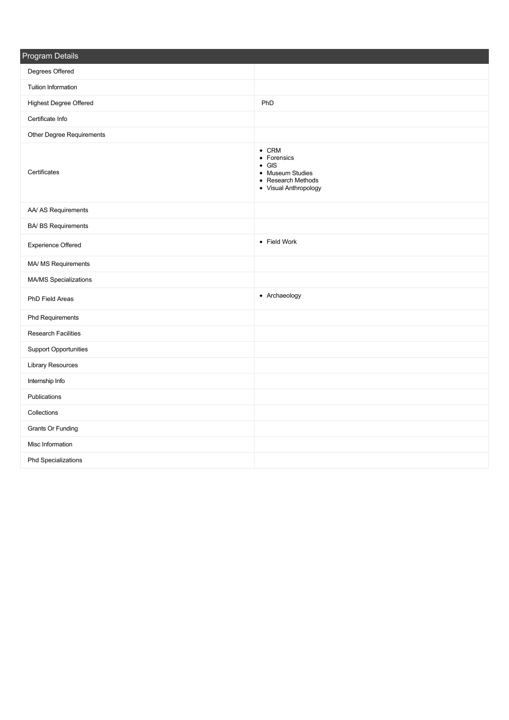| <b>Program Details</b>        |                                                                                                                  |
|-------------------------------|------------------------------------------------------------------------------------------------------------------|
| Degrees Offered               |                                                                                                                  |
| Tuition Information           |                                                                                                                  |
| <b>Highest Degree Offered</b> | PhD                                                                                                              |
| Certificate Info              |                                                                                                                  |
| Other Degree Requirements     |                                                                                                                  |
| Certificates                  | $\bullet$ CRM<br>• Forensics<br>$\bullet$ GIS<br>• Museum Studies<br>• Research Methods<br>• Visual Anthropology |
| AA/ AS Requirements           |                                                                                                                  |
| <b>BA/ BS Requirements</b>    |                                                                                                                  |
| Experience Offered            | • Field Work                                                                                                     |
| MA/ MS Requirements           |                                                                                                                  |
| MA/MS Specializations         |                                                                                                                  |
| PhD Field Areas               | • Archaeology                                                                                                    |
| Phd Requirements              |                                                                                                                  |
| <b>Research Facilities</b>    |                                                                                                                  |
| <b>Support Opportunities</b>  |                                                                                                                  |
| Library Resources             |                                                                                                                  |
| Internship Info               |                                                                                                                  |
| Publications                  |                                                                                                                  |
| Collections                   |                                                                                                                  |
| <b>Grants Or Funding</b>      |                                                                                                                  |
| Misc Information              |                                                                                                                  |
| Phd Specializations           |                                                                                                                  |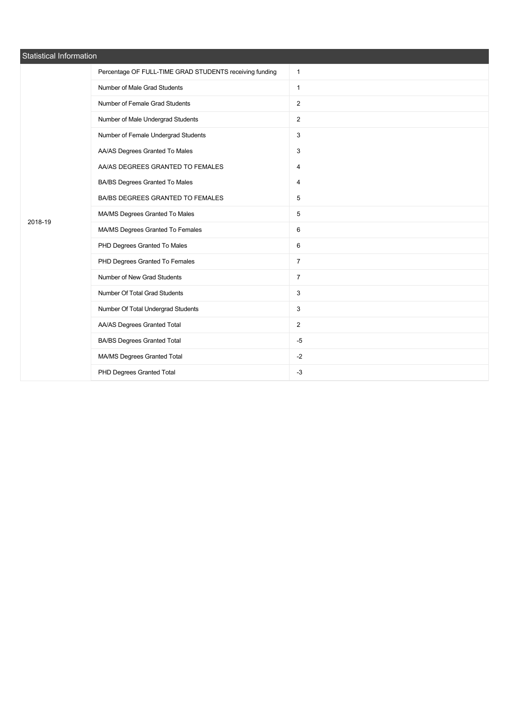| Statistical Information |                                                         |                |  |  |  |  |
|-------------------------|---------------------------------------------------------|----------------|--|--|--|--|
| 2018-19                 | Percentage OF FULL-TIME GRAD STUDENTS receiving funding | $\mathbf{1}$   |  |  |  |  |
|                         | Number of Male Grad Students                            | $\mathbf{1}$   |  |  |  |  |
|                         | Number of Female Grad Students                          | $\overline{2}$ |  |  |  |  |
|                         | Number of Male Undergrad Students                       | $\overline{2}$ |  |  |  |  |
|                         | Number of Female Undergrad Students                     | 3              |  |  |  |  |
|                         | AA/AS Degrees Granted To Males                          | 3              |  |  |  |  |
|                         | AA/AS DEGREES GRANTED TO FEMALES                        | 4              |  |  |  |  |
|                         | BA/BS Degrees Granted To Males                          | 4              |  |  |  |  |
|                         | BA/BS DEGREES GRANTED TO FEMALES                        | 5              |  |  |  |  |
|                         | MA/MS Degrees Granted To Males                          | 5              |  |  |  |  |
|                         | MA/MS Degrees Granted To Females                        | 6              |  |  |  |  |
|                         | PHD Degrees Granted To Males                            | 6              |  |  |  |  |
|                         | PHD Degrees Granted To Females                          | $\overline{7}$ |  |  |  |  |
|                         | Number of New Grad Students                             | $\overline{7}$ |  |  |  |  |
|                         | Number Of Total Grad Students                           | 3              |  |  |  |  |
|                         | Number Of Total Undergrad Students                      | 3              |  |  |  |  |
|                         | AA/AS Degrees Granted Total                             | $\overline{2}$ |  |  |  |  |
|                         | <b>BA/BS Degrees Granted Total</b>                      | $-5$           |  |  |  |  |
|                         | MA/MS Degrees Granted Total                             | $-2$           |  |  |  |  |
|                         | PHD Degrees Granted Total                               | $-3$           |  |  |  |  |